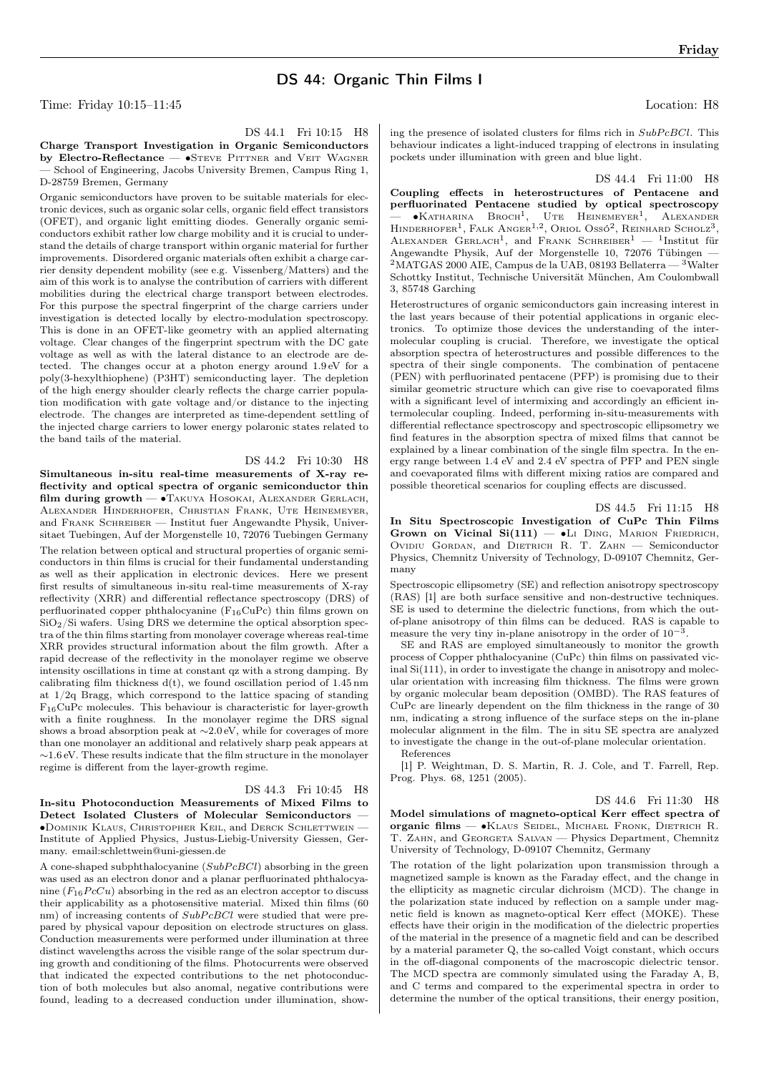## DS 44: Organic Thin Films I

Time: Friday 10:15–11:45 Location: H8

Friday

DS 44.1 Fri 10:15 H8

Charge Transport Investigation in Organic Semiconductors by Electro-Reflectance — •STEVE PITTNER and VEIT WAGNER — School of Engineering, Jacobs University Bremen, Campus Ring 1, D-28759 Bremen, Germany

Organic semiconductors have proven to be suitable materials for electronic devices, such as organic solar cells, organic field effect transistors (OFET), and organic light emitting diodes. Generally organic semiconductors exhibit rather low charge mobility and it is crucial to understand the details of charge transport within organic material for further improvements. Disordered organic materials often exhibit a charge carrier density dependent mobility (see e.g. Vissenberg/Matters) and the aim of this work is to analyse the contribution of carriers with different mobilities during the electrical charge transport between electrodes. For this purpose the spectral fingerprint of the charge carriers under investigation is detected locally by electro-modulation spectroscopy. This is done in an OFET-like geometry with an applied alternating voltage. Clear changes of the fingerprint spectrum with the DC gate voltage as well as with the lateral distance to an electrode are detected. The changes occur at a photon energy around 1.9 eV for a poly(3-hexylthiophene) (P3HT) semiconducting layer. The depletion of the high energy shoulder clearly reflects the charge carrier population modification with gate voltage and/or distance to the injecting electrode. The changes are interpreted as time-dependent settling of the injected charge carriers to lower energy polaronic states related to the band tails of the material.

DS 44.2 Fri 10:30 H8

Simultaneous in-situ real-time measurements of X-ray reflectivity and optical spectra of organic semiconductor thin film during growth — ∙Takuya Hosokai, Alexander Gerlach, Alexander Hinderhofer, Christian Frank, Ute Heinemeyer, and Frank Schreiber — Institut fuer Angewandte Physik, Universitaet Tuebingen, Auf der Morgenstelle 10, 72076 Tuebingen Germany The relation between optical and structural properties of organic semiconductors in thin films is crucial for their fundamental understanding as well as their application in electronic devices. Here we present first results of simultaneous in-situ real-time measurements of X-ray reflectivity (XRR) and differential reflectance spectroscopy (DRS) of perfluorinated copper phthalocyanine (F16CuPc) thin films grown on  $SiO<sub>2</sub>/Si$  wafers. Using DRS we determine the optical absorption spectra of the thin films starting from monolayer coverage whereas real-time XRR provides structural information about the film growth. After a rapid decrease of the reflectivity in the monolayer regime we observe intensity oscillations in time at constant qz with a strong damping. By calibrating film thickness  $d(t)$ , we found oscillation period of 1.45 nm at 1/2q Bragg, which correspond to the lattice spacing of standing  $F_{16}$ CuPc molecules. This behaviour is characteristic for layer-growth with a finite roughness. In the monolayer regime the DRS signal shows a broad absorption peak at  ${\sim}2.0\,\text{eV},$  while for coverages of more than one monolayer an additional and relatively sharp peak appears at ∼1.6 eV. These results indicate that the film structure in the monolayer regime is different from the layer-growth regime.

DS 44.3 Fri 10:45 H8 In-situ Photoconduction Measurements of Mixed Films to Detect Isolated Clusters of Molecular Semiconductors — ∙Dominik Klaus, Christopher Keil, and Derck Schlettwein — Institute of Applied Physics, Justus-Liebig-University Giessen, Germany. email:schlettwein@uni-giessen.de

A cone-shaped subphthalocyanine  $(SubPcBCl)$  absorbing in the green was used as an electron donor and a planar perfluorinated phthalocyanine  $(F_{16}PcCu)$  absorbing in the red as an electron acceptor to discuss their applicability as a photosensitive material. Mixed thin films (60 nm) of increasing contents of  $SubPcBCl$  were studied that were prepared by physical vapour deposition on electrode structures on glass. Conduction measurements were performed under illumination at three distinct wavelengths across the visible range of the solar spectrum during growth and conditioning of the films. Photocurrents were observed that indicated the expected contributions to the net photoconduction of both molecules but also anomal, negative contributions were found, leading to a decreased conduction under illumination, show-

ing the presence of isolated clusters for films rich in  $SubPcBCl$ . This behaviour indicates a light-induced trapping of electrons in insulating pockets under illumination with green and blue light.

DS 44.4 Fri 11:00 H8

Coupling effects in heterostructures of Pentacene and perfluorinated Pentacene studied by optical spectroscopy  $\bullet$ Katharina Broch<sup>1</sup>, , UTE HEINEMEYER<sup>1</sup>, ALEXANDER HINDERHOFER<sup>1</sup>, FALK ANGER<sup>1,2</sup>, ORIOL OSSÓ<sup>2</sup>, REINHARD SCHOLZ<sup>3</sup>, ALEXANDER GERLACH<sup>1</sup>, and FRANK SCHREIBER<sup>1</sup> - <sup>1</sup>Institut für Angewandte Physik, Auf der Morgenstelle 10, 72076 Tübingen —  $2<sup>2</sup>$ MATGAS 2000 AIE, Campus de la UAB, 08193 Bellaterra —  $<sup>3</sup>$ Walter</sup> Schottky Institut, Technische Universität München, Am Coulombwall 3, 85748 Garching

Heterostructures of organic semiconductors gain increasing interest in the last years because of their potential applications in organic electronics. To optimize those devices the understanding of the intermolecular coupling is crucial. Therefore, we investigate the optical absorption spectra of heterostructures and possible differences to the spectra of their single components. The combination of pentacene (PEN) with perfluorinated pentacene (PFP) is promising due to their similar geometric structure which can give rise to coevaporated films with a significant level of intermixing and accordingly an efficient intermolecular coupling. Indeed, performing in-situ-measurements with differential reflectance spectroscopy and spectroscopic ellipsometry we find features in the absorption spectra of mixed films that cannot be explained by a linear combination of the single film spectra. In the energy range between 1.4 eV and 2.4 eV spectra of PFP and PEN single and coevaporated films with different mixing ratios are compared and possible theoretical scenarios for coupling effects are discussed.

DS 44.5 Fri 11:15 H8

In Situ Spectroscopic Investigation of CuPc Thin Films Grown on Vicinal  $Si(111)$  —  $•L$ I DING, MARION FRIEDRICH, Ovidiu Gordan, and Dietrich R. T. ZAHN - Semiconductor Physics, Chemnitz University of Technology, D-09107 Chemnitz, Germany

Spectroscopic ellipsometry (SE) and reflection anisotropy spectroscopy (RAS) [1] are both surface sensitive and non-destructive techniques. SE is used to determine the dielectric functions, from which the outof-plane anisotropy of thin films can be deduced. RAS is capable to measure the very tiny in-plane anisotropy in the order of  $10^{-3}$ .

SE and RAS are employed simultaneously to monitor the growth process of Copper phthalocyanine (CuPc) thin films on passivated vicinal Si(111), in order to investigate the change in anisotropy and molecular orientation with increasing film thickness. The films were grown by organic molecular beam deposition (OMBD). The RAS features of CuPc are linearly dependent on the film thickness in the range of 30 nm, indicating a strong influence of the surface steps on the in-plane molecular alignment in the film. The in situ SE spectra are analyzed to investigate the change in the out-of-plane molecular orientation.

References

[1] P. Weightman, D. S. Martin, R. J. Cole, and T. Farrell, Rep. Prog. Phys. 68, 1251 (2005).

DS 44.6 Fri 11:30 H8

Model simulations of magneto-optical Kerr effect spectra of organic films — ∙Klaus Seidel, Michael Fronk, Dietrich R. T. Zahn, and Georgeta Salvan — Physics Department, Chemnitz University of Technology, D-09107 Chemnitz, Germany

The rotation of the light polarization upon transmission through a magnetized sample is known as the Faraday effect, and the change in the ellipticity as magnetic circular dichroism (MCD). The change in the polarization state induced by reflection on a sample under magnetic field is known as magneto-optical Kerr effect (MOKE). These effects have their origin in the modification of the dielectric properties of the material in the presence of a magnetic field and can be described by a material parameter Q, the so-called Voigt constant, which occurs in the off-diagonal components of the macroscopic dielectric tensor. The MCD spectra are commonly simulated using the Faraday A, B, and C terms and compared to the experimental spectra in order to determine the number of the optical transitions, their energy position,